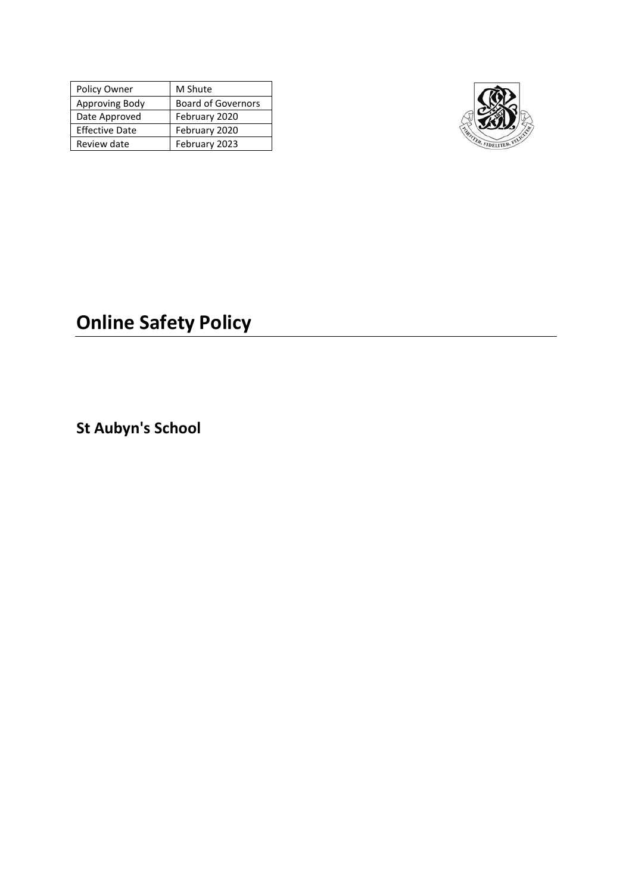| Policy Owner          | M Shute                   |  |
|-----------------------|---------------------------|--|
| Approving Body        | <b>Board of Governors</b> |  |
| Date Approved         | February 2020             |  |
| <b>Effective Date</b> | February 2020             |  |
| Review date           | February 2023             |  |



# **Online Safety Policy**

**St Aubyn's School**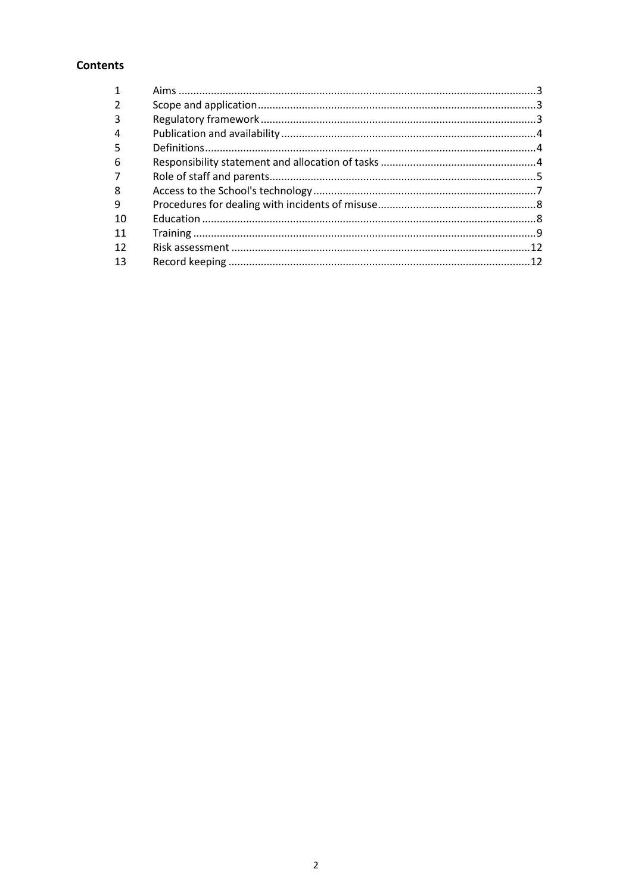# **Contents**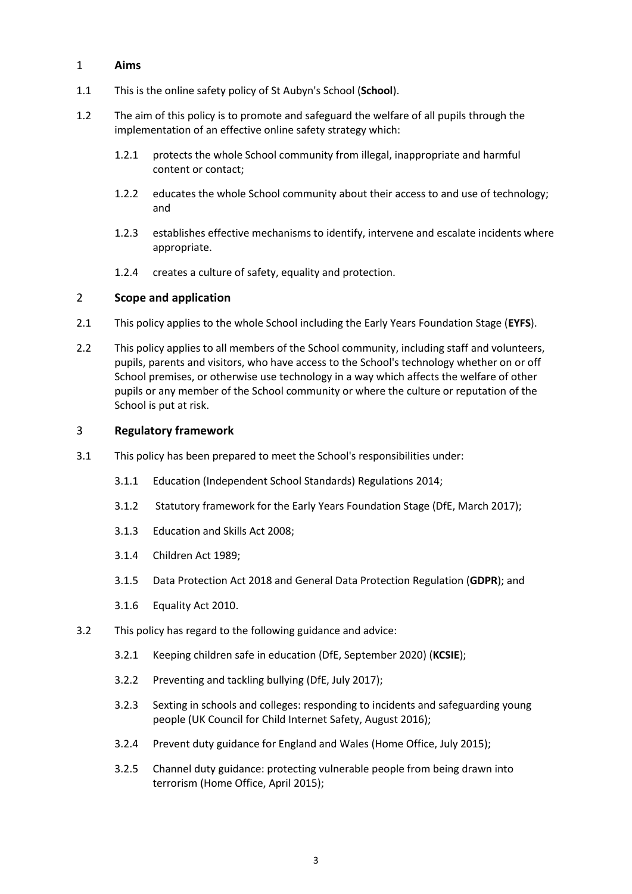## <span id="page-2-0"></span>1 **Aims**

- 1.1 This is the online safety policy of St Aubyn's School (**School**).
- 1.2 The aim of this policy is to promote and safeguard the welfare of all pupils through the implementation of an effective online safety strategy which:
	- 1.2.1 protects the whole School community from illegal, inappropriate and harmful content or contact;
	- 1.2.2 educates the whole School community about their access to and use of technology; and
	- 1.2.3 establishes effective mechanisms to identify, intervene and escalate incidents where appropriate.
	- 1.2.4 creates a culture of safety, equality and protection.

## <span id="page-2-1"></span>2 **Scope and application**

- 2.1 This policy applies to the whole School including the Early Years Foundation Stage (**EYFS**).
- 2.2 This policy applies to all members of the School community, including staff and volunteers, pupils, parents and visitors, who have access to the School's technology whether on or off School premises, or otherwise use technology in a way which affects the welfare of other pupils or any member of the School community or where the culture or reputation of the School is put at risk.

## <span id="page-2-2"></span>3 **Regulatory framework**

- 3.1 This policy has been prepared to meet the School's responsibilities under:
	- 3.1.1 Education (Independent School Standards) Regulations 2014;
	- 3.1.2 Statutory framework for the Early Years Foundation Stage (DfE, March 2017);
	- 3.1.3 Education and Skills Act 2008;
	- 3.1.4 Children Act 1989;
	- 3.1.5 Data Protection Act 2018 and General Data Protection Regulation (**GDPR**); and
	- 3.1.6 Equality Act 2010.
- 3.2 This policy has regard to the following guidance and advice:
	- 3.2.1 [Keeping children safe in education \(DfE, September 2020\)](https://www.gov.uk/government/publications/keeping-children-safe-in-education--2) (**KCSIE**);
	- 3.2.2 [Preventing and tackling bullying \(DfE, July 2017\);](https://www.gov.uk/government/uploads/system/uploads/attachment_data/file/623895/Preventing_and_tackling_bullying_advice.pdf)
	- 3.2.3 [Sexting in schools and colleges: responding to incidents and safeguarding young](https://www.gov.uk/government/uploads/system/uploads/attachment_data/file/609874/6_2939_SP_NCA_Sexting_In_Schools_FINAL_Update_Jan17.pdf)  [people \(UK Council for Child Internet Safety, August 2016\);](https://www.gov.uk/government/uploads/system/uploads/attachment_data/file/609874/6_2939_SP_NCA_Sexting_In_Schools_FINAL_Update_Jan17.pdf)
	- 3.2.4 [Prevent duty guidance for England and Wales \(Home Office, July 2015\);](https://www.gov.uk/government/uploads/system/uploads/attachment_data/file/445977/3799_Revised_Prevent_Duty_Guidance__England_Wales_V2-Interactive.pdf)
	- 3.2.5 [Channel duty guidance: protecting vulnerable people from being drawn into](https://www.gov.uk/government/uploads/system/uploads/attachment_data/file/425189/Channel_Duty_Guidance_April_2015.pdf)  [terrorism \(Home Office, April 2015\);](https://www.gov.uk/government/uploads/system/uploads/attachment_data/file/425189/Channel_Duty_Guidance_April_2015.pdf)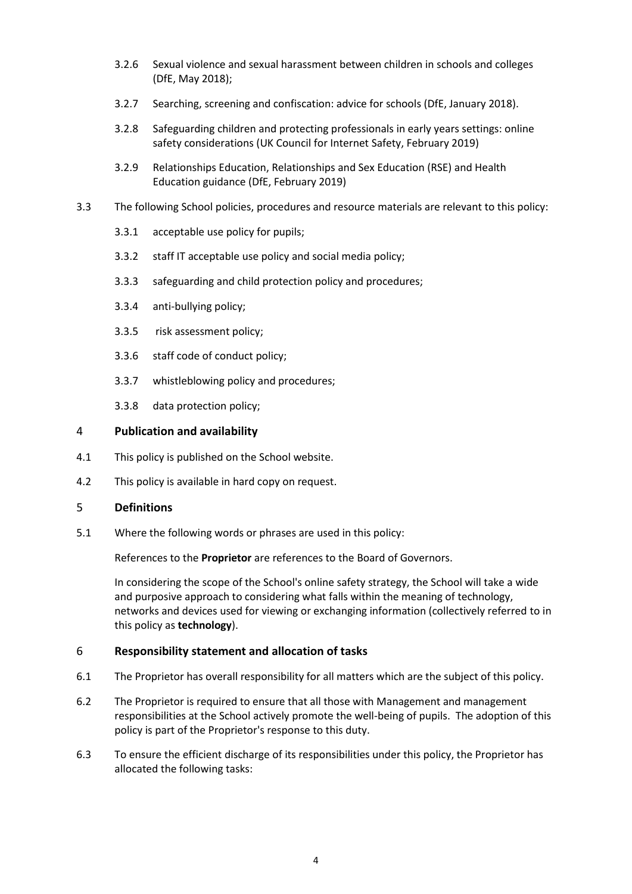- 3.2.6 [Sexual violence and sexual harassment between children in schools and colleges](https://www.gov.uk/government/uploads/system/uploads/attachment_data/file/667862/Sexual_Harassment_and_Sexual_Violence_-_Advice.pdf)  [\(DfE, May 2018\);](https://www.gov.uk/government/uploads/system/uploads/attachment_data/file/667862/Sexual_Harassment_and_Sexual_Violence_-_Advice.pdf)
- 3.2.7 [Searching, screening and confiscation: advice for schools \(DfE, January 2018\).](https://www.gov.uk/government/uploads/system/uploads/attachment_data/file/674416/Searching_screening_and_confiscation.pdf)
- 3.2.8 [Safeguarding children and protecting professionals in early years settings: online](https://www.gov.uk/government/publications/safeguarding-children-and-protecting-professionals-in-early-years-settings-online-safety-considerations)  [safety considerations \(UK Council for Internet Safety, February 2019\)](https://www.gov.uk/government/publications/safeguarding-children-and-protecting-professionals-in-early-years-settings-online-safety-considerations)
- 3.2.9 [Relationships Education, Relationships and Sex Education \(RSE\) and Health](https://assets.publishing.service.gov.uk/government/uploads/system/uploads/attachment_data/file/805781/Relationships_Education__Relationships_and_Sex_Education__RSE__and_Health_Education.pdf)  [Education guidance \(DfE, February 2019\)](https://assets.publishing.service.gov.uk/government/uploads/system/uploads/attachment_data/file/805781/Relationships_Education__Relationships_and_Sex_Education__RSE__and_Health_Education.pdf)
- 3.3 The following School policies, procedures and resource materials are relevant to this policy:
	- 3.3.1 acceptable use policy for pupils;
	- 3.3.2 staff IT acceptable use policy and social media policy;
	- 3.3.3 safeguarding and child protection policy and procedures;
	- 3.3.4 anti-bullying policy;
	- 3.3.5 risk assessment policy;
	- 3.3.6 staff code of conduct policy;
	- 3.3.7 whistleblowing policy and procedures;
	- 3.3.8 data protection policy;

## <span id="page-3-0"></span>4 **Publication and availability**

- 4.1 This policy is published on the School website.
- 4.2 This policy is available in hard copy on request.

## <span id="page-3-1"></span>5 **Definitions**

5.1 Where the following words or phrases are used in this policy:

References to the **Proprietor** are references to the Board of Governors.

In considering the scope of the School's online safety strategy, the School will take a wide and purposive approach to considering what falls within the meaning of technology, networks and devices used for viewing or exchanging information (collectively referred to in this policy as **technology**).

#### <span id="page-3-2"></span>6 **Responsibility statement and allocation of tasks**

- 6.1 The Proprietor has overall responsibility for all matters which are the subject of this policy.
- 6.2 The Proprietor is required to ensure that all those with Management and management responsibilities at the School actively promote the well-being of pupils. The adoption of this policy is part of the Proprietor's response to this duty.
- 6.3 To ensure the efficient discharge of its responsibilities under this policy, the Proprietor has allocated the following tasks: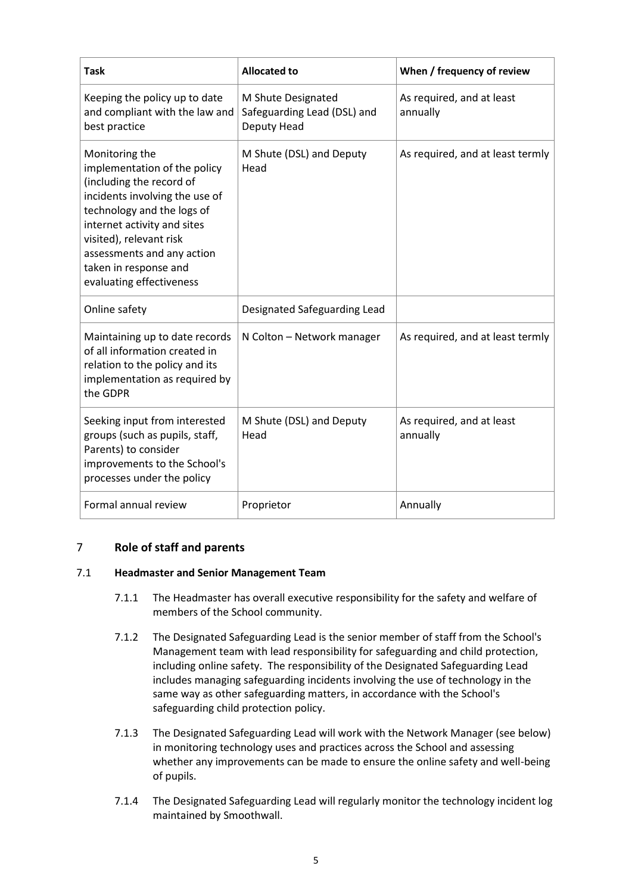| <b>Task</b>                                                                                                                                                                                                                                                                             | <b>Allocated to</b>                                              | When / frequency of review            |
|-----------------------------------------------------------------------------------------------------------------------------------------------------------------------------------------------------------------------------------------------------------------------------------------|------------------------------------------------------------------|---------------------------------------|
| Keeping the policy up to date<br>and compliant with the law and<br>best practice                                                                                                                                                                                                        | M Shute Designated<br>Safeguarding Lead (DSL) and<br>Deputy Head | As required, and at least<br>annually |
| Monitoring the<br>implementation of the policy<br>(including the record of<br>incidents involving the use of<br>technology and the logs of<br>internet activity and sites<br>visited), relevant risk<br>assessments and any action<br>taken in response and<br>evaluating effectiveness | M Shute (DSL) and Deputy<br>Head                                 | As required, and at least termly      |
| Online safety                                                                                                                                                                                                                                                                           | Designated Safeguarding Lead                                     |                                       |
| Maintaining up to date records<br>of all information created in<br>relation to the policy and its<br>implementation as required by<br>the GDPR                                                                                                                                          | N Colton - Network manager                                       | As required, and at least termly      |
| Seeking input from interested<br>groups (such as pupils, staff,<br>Parents) to consider<br>improvements to the School's<br>processes under the policy                                                                                                                                   | M Shute (DSL) and Deputy<br>Head                                 | As required, and at least<br>annually |
| Formal annual review                                                                                                                                                                                                                                                                    | Proprietor                                                       | Annually                              |

## <span id="page-4-0"></span>7 **Role of staff and parents**

## 7.1 **Headmaster and Senior Management Team**

- 7.1.1 The Headmaster has overall executive responsibility for the safety and welfare of members of the School community.
- 7.1.2 The Designated Safeguarding Lead is the senior member of staff from the School's Management team with lead responsibility for safeguarding and child protection, including online safety. The responsibility of the Designated Safeguarding Lead includes managing safeguarding incidents involving the use of technology in the same way as other safeguarding matters, in accordance with the School's safeguarding child protection policy.
- 7.1.3 The Designated Safeguarding Lead will work with the Network Manager (see below) in monitoring technology uses and practices across the School and assessing whether any improvements can be made to ensure the online safety and well-being of pupils.
- 7.1.4 The Designated Safeguarding Lead will regularly monitor the technology incident log maintained by Smoothwall.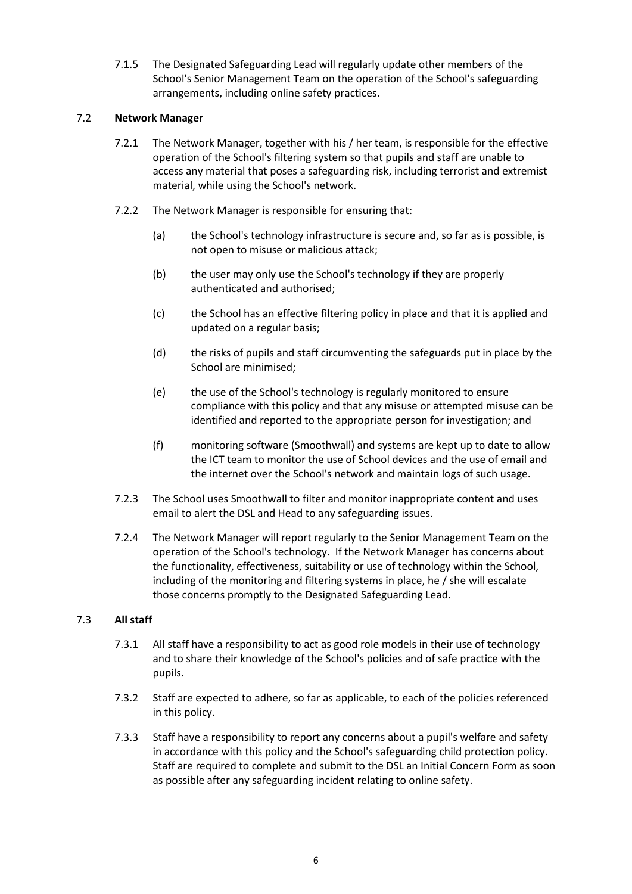7.1.5 The Designated Safeguarding Lead will regularly update other members of the School's Senior Management Team on the operation of the School's safeguarding arrangements, including online safety practices.

## 7.2 **Network Manager**

- 7.2.1 The Network Manager, together with his / her team, is responsible for the effective operation of the School's filtering system so that pupils and staff are unable to access any material that poses a safeguarding risk, including terrorist and extremist material, while using the School's network.
- 7.2.2 The Network Manager is responsible for ensuring that:
	- (a) the School's technology infrastructure is secure and, so far as is possible, is not open to misuse or malicious attack;
	- (b) the user may only use the School's technology if they are properly authenticated and authorised;
	- (c) the School has an effective filtering policy in place and that it is applied and updated on a regular basis;
	- (d) the risks of pupils and staff circumventing the safeguards put in place by the School are minimised;
	- (e) the use of the School's technology is regularly monitored to ensure compliance with this policy and that any misuse or attempted misuse can be identified and reported to the appropriate person for investigation; and
	- (f) monitoring software (Smoothwall) and systems are kept up to date to allow the ICT team to monitor the use of School devices and the use of email and the internet over the School's network and maintain logs of such usage.
- 7.2.3 The School uses Smoothwall to filter and monitor inappropriate content and uses email to alert the DSL and Head to any safeguarding issues.
- 7.2.4 The Network Manager will report regularly to the Senior Management Team on the operation of the School's technology. If the Network Manager has concerns about the functionality, effectiveness, suitability or use of technology within the School, including of the monitoring and filtering systems in place, he / she will escalate those concerns promptly to the Designated Safeguarding Lead.

## 7.3 **All staff**

- 7.3.1 All staff have a responsibility to act as good role models in their use of technology and to share their knowledge of the School's policies and of safe practice with the pupils.
- 7.3.2 Staff are expected to adhere, so far as applicable, to each of the policies referenced in this policy.
- 7.3.3 Staff have a responsibility to report any concerns about a pupil's welfare and safety in accordance with this policy and the School's safeguarding child protection policy. Staff are required to complete and submit to the DSL an Initial Concern Form as soon as possible after any safeguarding incident relating to online safety.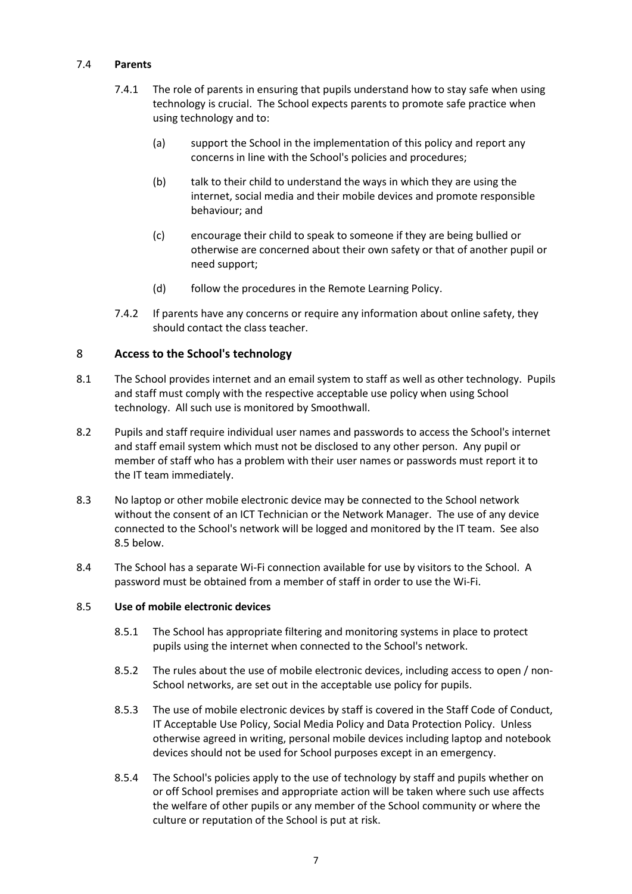## 7.4 **Parents**

- 7.4.1 The role of parents in ensuring that pupils understand how to stay safe when using technology is crucial. The School expects parents to promote safe practice when using technology and to:
	- (a) support the School in the implementation of this policy and report any concerns in line with the School's policies and procedures;
	- (b) talk to their child to understand the ways in which they are using the internet, social media and their mobile devices and promote responsible behaviour; and
	- (c) encourage their child to speak to someone if they are being bullied or otherwise are concerned about their own safety or that of another pupil or need support;
	- (d) follow the procedures in the Remote Learning Policy.
- 7.4.2 If parents have any concerns or require any information about online safety, they should contact the class teacher.

## <span id="page-6-0"></span>8 **Access to the School's technology**

- 8.1 The School provides internet and an email system to staff as well as other technology. Pupils and staff must comply with the respective acceptable use policy when using School technology. All such use is monitored by Smoothwall.
- 8.2 Pupils and staff require individual user names and passwords to access the School's internet and staff email system which must not be disclosed to any other person. Any pupil or member of staff who has a problem with their user names or passwords must report it to the IT team immediately.
- 8.3 No laptop or other mobile electronic device may be connected to the School network without the consent of an ICT Technician or the Network Manager. The use of any device connected to the School's network will be logged and monitored by the IT team. See also [8.5](#page-6-1) below.
- 8.4 The School has a separate Wi-Fi connection available for use by visitors to the School. A password must be obtained from a member of staff in order to use the Wi-Fi.

#### <span id="page-6-1"></span>8.5 **Use of mobile electronic devices**

- 8.5.1 The School has appropriate filtering and monitoring systems in place to protect pupils using the internet when connected to the School's network.
- 8.5.2 The rules about the use of mobile electronic devices, including access to open / non-School networks, are set out in the acceptable use policy for pupils.
- 8.5.3 The use of mobile electronic devices by staff is covered in the Staff Code of Conduct, IT Acceptable Use Policy, Social Media Policy and Data Protection Policy. Unless otherwise agreed in writing, personal mobile devices including laptop and notebook devices should not be used for School purposes except in an emergency.
- 8.5.4 The School's policies apply to the use of technology by staff and pupils whether on or off School premises and appropriate action will be taken where such use affects the welfare of other pupils or any member of the School community or where the culture or reputation of the School is put at risk.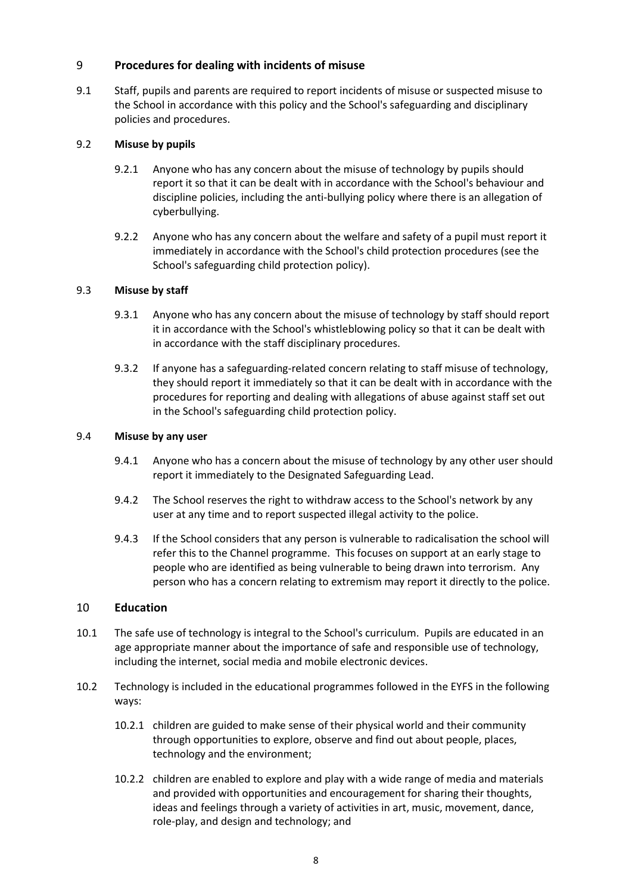## <span id="page-7-0"></span>9 **Procedures for dealing with incidents of misuse**

9.1 Staff, pupils and parents are required to report incidents of misuse or suspected misuse to the School in accordance with this policy and the School's safeguarding and disciplinary policies and procedures.

#### 9.2 **Misuse by pupils**

- 9.2.1 Anyone who has any concern about the misuse of technology by pupils should report it so that it can be dealt with in accordance with the School's behaviour and discipline policies, including the anti-bullying policy where there is an allegation of cyberbullying.
- 9.2.2 Anyone who has any concern about the welfare and safety of a pupil must report it immediately in accordance with the School's child protection procedures (see the School's safeguarding child protection policy).

## 9.3 **Misuse by staff**

- 9.3.1 Anyone who has any concern about the misuse of technology by staff should report it in accordance with the School's whistleblowing policy so that it can be dealt with in accordance with the staff disciplinary procedures.
- 9.3.2 If anyone has a safeguarding-related concern relating to staff misuse of technology, they should report it immediately so that it can be dealt with in accordance with the procedures for reporting and dealing with allegations of abuse against staff set out in the School's safeguarding child protection policy.

#### 9.4 **Misuse by any user**

- 9.4.1 Anyone who has a concern about the misuse of technology by any other user should report it immediately to the Designated Safeguarding Lead.
- 9.4.2 The School reserves the right to withdraw access to the School's network by any user at any time and to report suspected illegal activity to the police.
- 9.4.3 If the School considers that any person is vulnerable to radicalisation the school will refer this to the Channel programme. This focuses on support at an early stage to people who are identified as being vulnerable to being drawn into terrorism. Any person who has a concern relating to extremism may report it directly to the police.

#### <span id="page-7-1"></span>10 **Education**

- 10.1 The safe use of technology is integral to the School's curriculum. Pupils are educated in an age appropriate manner about the importance of safe and responsible use of technology, including the internet, social media and mobile electronic devices.
- 10.2 Technology is included in the educational programmes followed in the EYFS in the following ways:
	- 10.2.1 children are guided to make sense of their physical world and their community through opportunities to explore, observe and find out about people, places, technology and the environment;
	- 10.2.2 children are enabled to explore and play with a wide range of media and materials and provided with opportunities and encouragement for sharing their thoughts, ideas and feelings through a variety of activities in art, music, movement, dance, role-play, and design and technology; and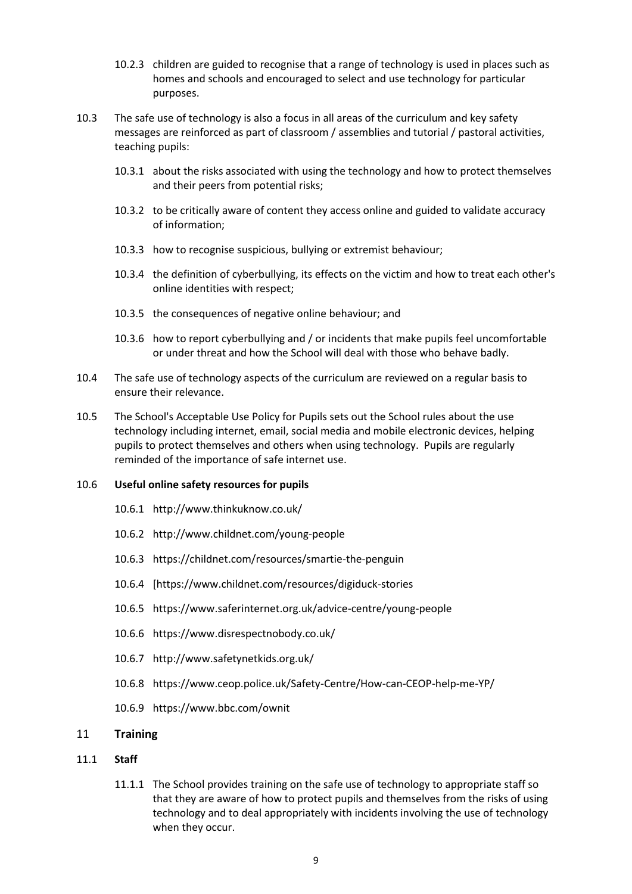- 10.2.3 children are guided to recognise that a range of technology is used in places such as homes and schools and encouraged to select and use technology for particular purposes.
- 10.3 The safe use of technology is also a focus in all areas of the curriculum and key safety messages are reinforced as part of classroom / assemblies and tutorial / pastoral activities, teaching pupils:
	- 10.3.1 about the risks associated with using the technology and how to protect themselves and their peers from potential risks;
	- 10.3.2 to be critically aware of content they access online and guided to validate accuracy of information;
	- 10.3.3 how to recognise suspicious, bullying or extremist behaviour;
	- 10.3.4 the definition of cyberbullying, its effects on the victim and how to treat each other's online identities with respect;
	- 10.3.5 the consequences of negative online behaviour; and
	- 10.3.6 how to report cyberbullying and / or incidents that make pupils feel uncomfortable or under threat and how the School will deal with those who behave badly.
- 10.4 The safe use of technology aspects of the curriculum are reviewed on a regular basis to ensure their relevance.
- 10.5 The School's Acceptable Use Policy for Pupils sets out the School rules about the use technology including internet, email, social media and mobile electronic devices, helping pupils to protect themselves and others when using technology. Pupils are regularly reminded of the importance of safe internet use.

#### 10.6 **Useful online safety resources for pupils**

- 10.6.1 <http://www.thinkuknow.co.uk/>
- 10.6.2 <http://www.childnet.com/young-people>
- 10.6.3 <https://childnet.com/resources/smartie-the-penguin>
- 10.6.4 [\[https://www.childnet.com/resources/digiduck-stories](https://www.childnet.com/resources/digiduck-stories)
- 10.6.5 <https://www.saferinternet.org.uk/advice-centre/young-people>
- 10.6.6 <https://www.disrespectnobody.co.uk/>
- 10.6.7 <http://www.safetynetkids.org.uk/>
- 10.6.8 <https://www.ceop.police.uk/Safety-Centre/How-can-CEOP-help-me-YP/>
- 10.6.9 https://www.bbc.com/ownit

#### <span id="page-8-0"></span>11 **Training**

#### 11.1 **Staff**

11.1.1 The School provides training on the safe use of technology to appropriate staff so that they are aware of how to protect pupils and themselves from the risks of using technology and to deal appropriately with incidents involving the use of technology when they occur.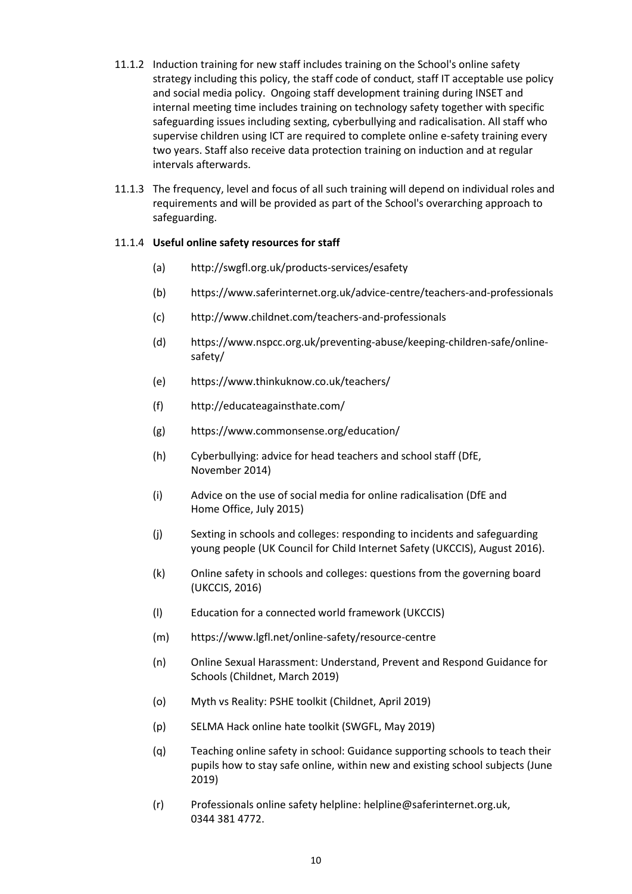- 11.1.2 Induction training for new staff includes training on the School's online safety strategy including this policy, the staff code of conduct, staff IT acceptable use policy and social media policy. Ongoing staff development training during INSET and internal meeting time includes training on technology safety together with specific safeguarding issues including sexting, cyberbullying and radicalisation. All staff who supervise children using ICT are required to complete online e-safety training every two years. Staff also receive data protection training on induction and at regular intervals afterwards.
- 11.1.3 The frequency, level and focus of all such training will depend on individual roles and requirements and will be provided as part of the School's overarching approach to safeguarding.

## 11.1.4 **Useful online safety resources for staff**

- (a) <http://swgfl.org.uk/products-services/esafety>
- (b) <https://www.saferinternet.org.uk/advice-centre/teachers-and-professionals>
- (c) <http://www.childnet.com/teachers-and-professionals>
- (d) [https://www.nspcc.org.uk/preventing-abuse/keeping-children-safe/online](https://www.nspcc.org.uk/preventing-abuse/keeping-children-safe/online-safety/)[safety/](https://www.nspcc.org.uk/preventing-abuse/keeping-children-safe/online-safety/)
- (e) <https://www.thinkuknow.co.uk/teachers/>
- (f) <http://educateagainsthate.com/>
- (g) <https://www.commonsense.org/education/>
- (h) [Cyberbullying: advice for head teachers and school staff \(DfE,](https://www.gov.uk/government/uploads/system/uploads/attachment_data/file/374850/Cyberbullying_Advice_for_Headteachers_and_School_Staff_121114.pdf)  [November](https://www.gov.uk/government/uploads/system/uploads/attachment_data/file/374850/Cyberbullying_Advice_for_Headteachers_and_School_Staff_121114.pdf) 2014)
- (i) [Advice on the use of social media for online radicalisation \(DfE and](https://www.gov.uk/government/publications/the-use-of-social-media-for-online-radicalisation)  Home [Office, July 2015\)](https://www.gov.uk/government/publications/the-use-of-social-media-for-online-radicalisation)
- (j) [Sexting in schools and colleges: responding to incidents and safeguarding](https://www.gov.uk/government/uploads/system/uploads/attachment_data/file/609874/6_2939_SP_NCA_Sexting_In_Schools_FINAL_Update_Jan17.pdf)  [young people \(UK Council for Child Internet Safety](https://www.gov.uk/government/uploads/system/uploads/attachment_data/file/609874/6_2939_SP_NCA_Sexting_In_Schools_FINAL_Update_Jan17.pdf) (UKCCIS), August 2016).
- (k) [Online safety in schools and colleges: questions from the governing board](https://www.gov.uk/government/uploads/system/uploads/attachment_data/file/562876/Guidance_for_School_Governors_-_Question_list.pdf)  [\(UKCCIS, 2016\)](https://www.gov.uk/government/uploads/system/uploads/attachment_data/file/562876/Guidance_for_School_Governors_-_Question_list.pdf)
- (l) [Education for a connected world framework \(UKCCIS\)](https://assets.publishing.service.gov.uk/government/uploads/system/uploads/attachment_data/file/683895/Education_for_a_connected_world_PDF.PDF)
- (m) <https://www.lgfl.net/online-safety/resource-centre>
- (n) [Online Sexual Harassment: Understand, Prevent and Respond Guidance for](https://www.childnet.com/resources/step-up-speak-up/guidance-and-training-for-schools-and-professionals)  [Schools \(Childnet, March 2019\)](https://www.childnet.com/resources/step-up-speak-up/guidance-and-training-for-schools-and-professionals)
- (o) [Myth vs Reality: PSHE toolkit \(Childnet, April 2019\)](https://www.childnet.com/resources/pshe-toolkit/myth-vs-reality)
- (p) [SELMA Hack online hate toolkit \(SWGFL, May 2019\)](https://selma.swgfl.co.uk/)
- (q) [Teaching online safety in school: Guidance supporting schools to teach their](https://assets.publishing.service.gov.uk/government/uploads/system/uploads/attachment_data/file/811796/Teaching_online_safety_in_school.pdf)  [pupils how to stay safe online, within new and existing school subjects \(June](https://assets.publishing.service.gov.uk/government/uploads/system/uploads/attachment_data/file/811796/Teaching_online_safety_in_school.pdf)  [2019\)](https://assets.publishing.service.gov.uk/government/uploads/system/uploads/attachment_data/file/811796/Teaching_online_safety_in_school.pdf)
- (r) Professionals online safety helpline[: helpline@saferinternet.org.uk,](mailto:helpline@saferinternet.org.uk) 0344 381 4772.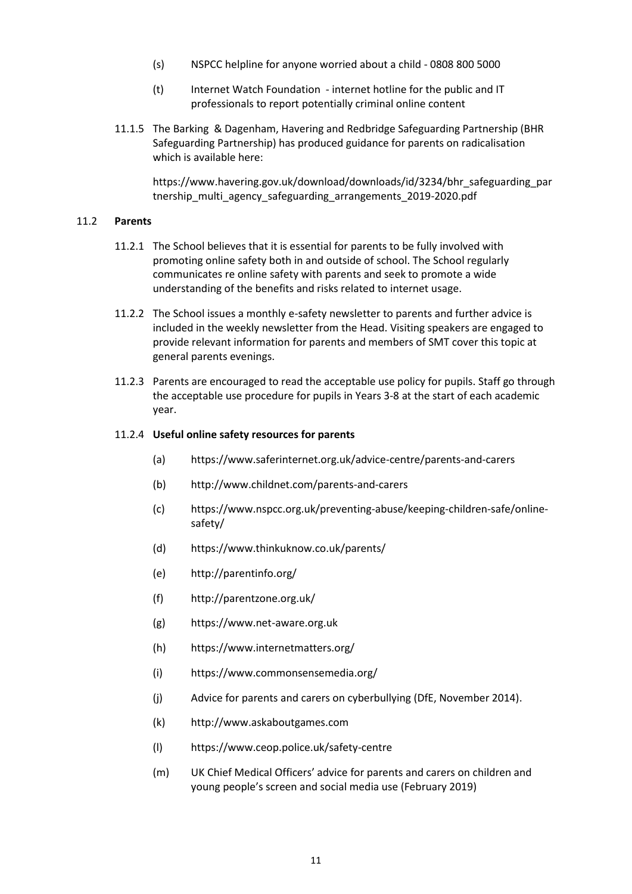- (s) NSPCC helpline for anyone worried about a child 0808 800 5000
- (t) Internet Watch Foundation internet hotline for the public and IT professionals to report potentially criminal online content
- 11.1.5 The Barking & Dagenham, Havering and Redbridge Safeguarding Partnership (BHR Safeguarding Partnership) has produced guidance for parents on radicalisation which is available here:

[https://www.havering.gov.uk/download/downloads/id/3234/bhr\\_safeguarding\\_par](https://www.havering.gov.uk/download/downloads/id/3234/bhr_safeguarding_partnership_multi_agency_safeguarding_arrangements_2019-2020.pdf) [tnership\\_multi\\_agency\\_safeguarding\\_arrangements\\_2019-2020.pdf](https://www.havering.gov.uk/download/downloads/id/3234/bhr_safeguarding_partnership_multi_agency_safeguarding_arrangements_2019-2020.pdf)

#### 11.2 **Parents**

- 11.2.1 The School believes that it is essential for parents to be fully involved with promoting online safety both in and outside of school. The School regularly communicates re online safety with parents and seek to promote a wide understanding of the benefits and risks related to internet usage.
- 11.2.2 The School issues a monthly e-safety newsletter to parents and further advice is included in the weekly newsletter from the Head. Visiting speakers are engaged to provide relevant information for parents and members of SMT cover this topic at general parents evenings.
- 11.2.3 Parents are encouraged to read the acceptable use policy for pupils. Staff go through the acceptable use procedure for pupils in Years 3-8 at the start of each academic year.

#### 11.2.4 **Useful online safety resources for parents**

- (a) <https://www.saferinternet.org.uk/advice-centre/parents-and-carers>
- (b) <http://www.childnet.com/parents-and-carers>
- (c) [https://www.nspcc.org.uk/preventing-abuse/keeping-children-safe/online](https://www.nspcc.org.uk/preventing-abuse/keeping-children-safe/online-safety/)[safety/](https://www.nspcc.org.uk/preventing-abuse/keeping-children-safe/online-safety/)
- (d) <https://www.thinkuknow.co.uk/parents/>
- (e) <http://parentinfo.org/>
- (f) <http://parentzone.org.uk/>
- (g) [https://www.net-aware.org.uk](https://www.net-aware.org.uk/)
- (h) <https://www.internetmatters.org/>
- (i) <https://www.commonsensemedia.org/>
- (j) [Advice for parents and carers on cyberbullying \(DfE, November 2014\).](https://www.gov.uk/government/uploads/system/uploads/attachment_data/file/444865/Advice_for_parents_on_cyberbullying.pdf)
- (k) [http://www.askaboutgames.com](http://www.askaboutgames.com/)
- (l) <https://www.ceop.police.uk/safety-centre>
- (m) UK Chief Medical Officers' advice for parents and carers on children and young people's screen and social media use (February 2019)